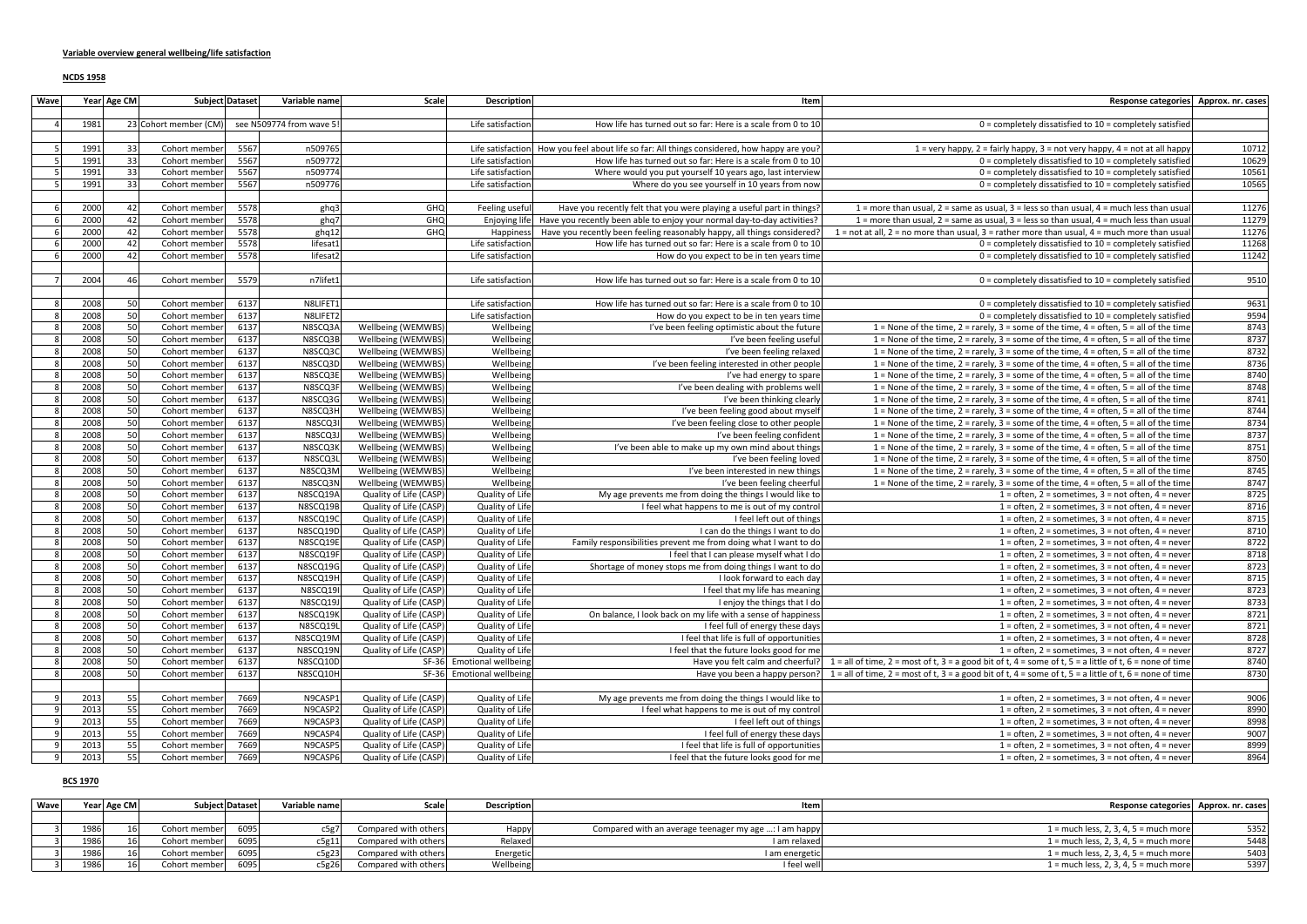## **NCDS 1958**

| <b>Wave</b> |              | Year Age CM     | Subject Dataset                |              | Variable name            | Scale                  | <b>Description</b>                                     | Item                                                                                          | Response categories Approx. nr. cases                                                                   |       |
|-------------|--------------|-----------------|--------------------------------|--------------|--------------------------|------------------------|--------------------------------------------------------|-----------------------------------------------------------------------------------------------|---------------------------------------------------------------------------------------------------------|-------|
|             |              |                 |                                |              |                          |                        |                                                        |                                                                                               |                                                                                                         |       |
|             | 1981         |                 | 23 Cohort member (CM)          |              | see N509774 from wave 5! |                        | Life satisfaction                                      | How life has turned out so far: Here is a scale from 0 to 10                                  | $0 =$ completely dissatisfied to $10 =$ completely satisfied                                            |       |
|             |              |                 |                                |              |                          |                        |                                                        |                                                                                               |                                                                                                         |       |
|             | 1991         | 33              | Cohort member                  | 5567         | n509765                  |                        |                                                        | Life satisfaction   How you feel about life so far: All things considered, how happy are you? | $1$ = very happy, $2$ = fairly happy, $3$ = not very happy, $4$ = not at all happy                      | 10712 |
| -51         | 1991         | 33              | Cohort member                  | 5567         | n509772                  |                        | Life satisfaction                                      | How life has turned out so far: Here is a scale from 0 to 10                                  | $0 =$ completely dissatisfied to $10 =$ completely satisfied                                            | 10629 |
|             | 1991         | 33              | Cohort member                  | 5567         | n509774                  |                        | Life satisfaction                                      | Where would you put yourself 10 years ago, last interview                                     | $0 =$ completely dissatisfied to $10 =$ completely satisfied                                            | 10561 |
|             | 1991         | $\overline{33}$ | Cohort member                  | 5567         | n509776                  |                        | Life satisfaction                                      | Where do you see yourself in 10 years from now                                                | $0 =$ completely dissatisfied to $10 =$ completely satisfied                                            | 10565 |
|             |              |                 |                                |              |                          |                        |                                                        |                                                                                               |                                                                                                         |       |
|             | 2000         | 42              | Cohort member                  | 5578         | ghq3                     | GHQ                    | Feeling useful                                         | Have you recently felt that you were playing a useful part in things?                         | 1 = more than usual, 2 = same as usual, 3 = less so than usual, 4 = much less than usual                | 11276 |
|             | 2000         | 42              | Cohort member                  | 5578         | ghq7                     | GHQ                    | Enjoying life                                          | Have you recently been able to enjoy your normal day-to-day activities?                       | $1$ = more than usual, $2$ = same as usual, $3$ = less so than usual, $4$ = much less than usual        | 11279 |
|             | 2000         | 42              | Cohort member                  | 5578         | ghq12                    | GHQ                    | Happiness                                              | Have you recently been feeling reasonably happy, all things considered?                       | 1 = not at all, 2 = no more than usual, 3 = rather more than usual, 4 = much more than usual            | 11276 |
|             | 2000         | 42              | Cohort member                  | 5578         | lifesat1                 |                        | Life satisfaction                                      | How life has turned out so far: Here is a scale from 0 to 10                                  | $0 =$ completely dissatisfied to $10 =$ completely satisfied                                            | 11268 |
|             | 2000         | 42              | Cohort member                  | 5578         | lifesat2                 |                        | Life satisfaction                                      | How do you expect to be in ten years time                                                     | $0 =$ completely dissatisfied to $10 =$ completely satisfied                                            | 11242 |
|             |              |                 |                                |              |                          |                        |                                                        |                                                                                               |                                                                                                         |       |
|             | 2004         | 46              | Cohort member                  | 5579         | n7lifet1                 |                        | Life satisfactior                                      | How life has turned out so far: Here is a scale from 0 to 10                                  | $0 =$ completely dissatisfied to $10 =$ completely satisfied                                            | 9510  |
|             |              |                 |                                |              |                          |                        |                                                        |                                                                                               |                                                                                                         |       |
|             | 2008         | 50              | Cohort member                  | 6137         | N8LIFET1                 |                        | Life satisfaction                                      | How life has turned out so far: Here is a scale from 0 to 10                                  | $0 =$ completely dissatisfied to $10 =$ completely satisfied                                            | 9631  |
|             | 2008         | 50              | Cohort member                  | 6137         | N8LIFET2                 |                        | Life satisfaction                                      | How do you expect to be in ten years time                                                     | $0 =$ completely dissatisfied to $10 =$ completely satisfied                                            | 9594  |
|             | 2008         | 50              | Cohort member                  | 6137         | N8SCQ3A                  | Wellbeing (WEMWBS)     | Wellbeing                                              | I've been feeling optimistic about the future                                                 | 1 = None of the time, 2 = rarely, 3 = some of the time, 4 = often, 5 = all of the time                  | 8743  |
|             | 2008         | 50              | Cohort member                  | 6137         | N8SCQ3B                  | Wellbeing (WEMWBS)     | Wellbeing                                              | I've been feeling useful                                                                      | 1 = None of the time, 2 = rarely, 3 = some of the time, 4 = often, 5 = all of the time                  | 8737  |
|             | 2008         | 50              | Cohort member                  | 6137         | N8SCQ3C                  | Wellbeing (WEMWBS)     | Wellbeing                                              | I've been feeling relaxed                                                                     | 1 = None of the time, 2 = rarely, 3 = some of the time, 4 = often, 5 = all of the time                  | 8732  |
|             | 2008         | 50              | Cohort member                  | 6137         | N8SCQ3D                  | Wellbeing (WEMWBS)     | Wellbeing                                              | I've been feeling interested in other people                                                  | 1 = None of the time, $2 =$ rarely, $3 =$ some of the time, $4 =$ often, $5 =$ all of the time          | 8736  |
|             | 2008         | 50              | Cohort member                  | 6137         | N8SCQ3E                  | Wellbeing (WEMWBS)     | Wellbeing                                              | I've had energy to spare                                                                      | 1 = None of the time, 2 = rarely, 3 = some of the time, 4 = often, 5 = all of the time                  | 8740  |
|             | 2008         | 50              | Cohort member                  | 6137         | N8SCQ3F                  | Wellbeing (WEMWBS)     | Wellbeing                                              | I've been dealing with problems well                                                          | 1 = None of the time, 2 = rarely, 3 = some of the time, 4 = often, 5 = all of the time                  | 8748  |
|             | 2008         | 50              | Cohort member                  | 6137         | N8SCQ3G                  | Wellbeing (WEMWBS)     | Wellbeing                                              | I've been thinking clearly                                                                    | 1 = None of the time, 2 = rarely, 3 = some of the time, 4 = often, 5 = all of the time                  | 8741  |
|             | 2008         | 50              | Cohort member                  | 6137         | N8SCQ3H                  | Wellbeing (WEMWBS)     | Wellbeing                                              | I've been feeling good about myself                                                           | 1 = None of the time, 2 = rarely, 3 = some of the time, 4 = often, 5 = all of the time                  | 8744  |
|             | 2008         | 50              | Cohort member                  | 6137         | N8SCQ3I                  | Wellbeing (WEMWBS)     | Wellbeing                                              | I've been feeling close to other people                                                       | 1 = None of the time, 2 = rarely, 3 = some of the time, 4 = often, 5 = all of the time                  | 8734  |
|             | 2008         | 50              | Cohort member                  | 6137         | N8SCQ3J                  | Wellbeing (WEMWBS)     | Wellbeing                                              | I've been feeling confident                                                                   | 1 = None of the time, 2 = rarely, 3 = some of the time, 4 = often, 5 = all of the time                  | 8737  |
|             | 2008         | $\overline{50}$ | Cohort member                  | 6137         | N8SCQ3K                  | Wellbeing (WEMWBS)     | Wellbeing                                              | I've been able to make up my own mind about things                                            | 1 = None of the time, 2 = rarely, 3 = some of the time, 4 = often, 5 = all of the time                  | 8751  |
|             | 2008         | 50              | Cohort member                  | 6137         | N8SCQ3L                  | Wellbeing (WEMWBS)     | Wellbeing                                              | I've been feeling loved                                                                       | 1 = None of the time, 2 = rarely, 3 = some of the time, 4 = often, 5 = all of the time                  | 8750  |
|             | 2008         | 50              | Cohort member                  | 6137         | N8SCQ3M                  | Wellbeing (WEMWBS)     | Wellbeing                                              | I've been interested in new things                                                            | 1 = None of the time, $2$ = rarely, $3$ = some of the time, $4$ = often, $5$ = all of the time          | 8745  |
|             | 2008         | $\overline{50}$ | Cohort member                  | 6137         | N8SCQ3N                  | Wellbeing (WEMWBS)     | Wellbeing                                              | I've been feeling cheerful                                                                    | 1 = None of the time, 2 = rarely, 3 = some of the time, 4 = often, 5 = all of the time                  | 8747  |
|             | 2008         | $\overline{50}$ | Cohort member                  | 6137         | N8SCQ19A                 | Quality of Life (CASP) | Quality of Life                                        | My age prevents me from doing the things I would like to                                      | $1 =$ often, $2 =$ sometimes, $3 =$ not often, $4 =$ never                                              | 8725  |
|             | 2008         | 50              | Cohort member                  | 6137         | N8SCQ19B                 | Quality of Life (CASP) | Quality of Life                                        | I feel what happens to me is out of my control                                                | $1 =$ often, $2 =$ sometimes, $3 =$ not often, $4 =$ never                                              | 8716  |
|             | 2008         | 50              | Cohort member                  | 6137         | N8SCQ19C                 | Quality of Life (CASP) | Quality of Life                                        | I feel left out of things                                                                     | $1 =$ often, $2 =$ sometimes, $3 =$ not often, $4 =$ never                                              | 8715  |
|             | 2008         | 50              | Cohort member                  | 6137         | N8SCQ19D                 | Quality of Life (CASP) | Quality of Life                                        | I can do the things I want to do                                                              | $1 =$ often, $2 =$ sometimes, $3 =$ not often, $4 =$ never                                              | 8710  |
|             | 2008         | 50              | Cohort member                  | 6137         | N8SCQ19E                 | Quality of Life (CASP) | Quality of Life                                        | Family responsibilities prevent me from doing what I want to do                               | 1 = often, 2 = sometimes, 3 = not often, 4 = never                                                      | 8722  |
|             | 2008         | 50              | Cohort member                  | 6137         | N8SCQ19F                 | Quality of Life (CASP) | Quality of Life                                        | I feel that I can please myself what I do                                                     | $1 =$ often, $2 =$ sometimes, $3 =$ not often, $4 =$ never                                              | 8718  |
|             | 2008         | 50              | Cohort member                  | 6137         | N8SCQ19G                 | Quality of Life (CASP) | Quality of Life                                        | Shortage of money stops me from doing things I want to do                                     | $1 =$ often, $2 =$ sometimes, $3 =$ not often, $4 =$ never                                              | 8723  |
|             | 2008         | 50              | Cohort member                  | 6137         | N8SCQ19H                 | Quality of Life (CASP) | Quality of Life                                        | I look forward to each day                                                                    | 1 = often, 2 = sometimes, 3 = not often, 4 = never                                                      | 8715  |
|             | 2008         | 50<br>50        | Cohort member                  | 6137         | N8SCQ19I                 | Quality of Life (CASP) | Quality of Life                                        | I feel that my life has meaning                                                               | $1 =$ often, $2 =$ sometimes, $3 =$ not often, $4 =$ never                                              | 8723  |
|             | 2008         |                 | Cohort member                  | 6137         | N8SCQ19J                 | Quality of Life (CASP) | Quality of Life                                        | I enjoy the things that I do                                                                  | 1 = often, 2 = sometimes, 3 = not often, 4 = never                                                      | 8733  |
|             | 2008         | 50              | Cohort member                  | 6137         | N8SCQ19K                 | Quality of Life (CASP) | Quality of Life                                        | On balance, I look back on my life with a sense of happiness                                  | $1 =$ often, $2 =$ sometimes, $3 =$ not often, $4 =$ never                                              | 8721  |
|             | 2008         | 50              | Cohort member                  | 6137         | N8SCQ19L                 | Quality of Life (CASP) | Quality of Life                                        | I feel full of energy these days                                                              | 1 = often, 2 = sometimes, 3 = not often, 4 = never                                                      | 8721  |
|             | 2008         | 50              | Cohort member                  | 6137         | N8SCQ19M                 | Quality of Life (CASP) | Quality of Life                                        | I feel that life is full of opportunities                                                     | $1 =$ often, $2 =$ sometimes, $3 =$ not often, $4 =$ never                                              | 8728  |
|             | 2008         | 50              | Cohort member                  | 6137         | N8SCQ19N                 | Quality of Life (CASP) | Quality of Life                                        | I feel that the future looks good for me                                                      | $1 =$ often, $2 =$ sometimes, $3 =$ not often, $4 =$ never                                              | 8727  |
|             | 2008<br>2008 | 50<br>50        | Cohort member<br>Cohort member | 6137<br>6137 | N8SCQ10D<br>N8SCQ10H     |                        | SF-36 Emotional wellbeing<br>SF-36 Emotional wellbeing | Have you felt calm and cheerful?                                                              | 1 = all of time, 2 = most of t, 3 = a good bit of t, 4 = some of t, 5 = a little of t, 6 = none of time | 8740  |
|             |              |                 |                                |              |                          |                        |                                                        | Have you been a happy person?                                                                 | 1 = all of time, 2 = most of t, 3 = a good bit of t, 4 = some of t, 5 = a little of t, 6 = none of time | 8730  |
|             | 2013         | 55              | Cohort member                  | 7669         | N9CASP1                  | Quality of Life (CASP) | Quality of Life                                        | My age prevents me from doing the things I would like to                                      | $1 =$ often, $2 =$ sometimes, $3 =$ not often, $4 =$ never                                              | 9006  |
|             | 2013         | 55              | Cohort member                  | 7669         | N9CASP2                  | Quality of Life (CASP) | Quality of Life                                        | I feel what happens to me is out of my control                                                | $1 =$ often, $2 =$ sometimes, $3 =$ not often, $4 =$ never                                              | 8990  |
|             | 2013         | 55              | Cohort member                  | 7669         | N9CASP3                  | Quality of Life (CASP) | Quality of Life                                        | I feel left out of things                                                                     | $1 =$ often, $2 =$ sometimes, $3 =$ not often, $4 =$ never                                              | 8998  |
|             | 2013         | 55              | Cohort member                  | 7669         | N9CASP4                  | Quality of Life (CASP) | Quality of Life                                        | I feel full of energy these days                                                              | $1 =$ often, $2 =$ sometimes, $3 =$ not often, $4 =$ never                                              | 9007  |
|             | 2013         | 55              | Cohort member                  | 7669         | N9CASP5                  | Quality of Life (CASP) | Quality of Life                                        | I feel that life is full of opportunities                                                     | $1 =$ often, $2 =$ sometimes, $3 =$ not often, $4 =$ never                                              | 8999  |
|             | 2013         | 55              | Cohort member                  | 7669         | N9CASP6                  | Quality of Life (CASP) | Quality of Life                                        | I feel that the future looks good for me                                                      | $1 =$ often, $2 =$ sometimes, $3 =$ not often, $4 =$ never                                              | 8964  |

## **BCS 1970**

| Wave | Year Age CM |  |                |      | Subject Dataset |                      |           |                                                       |                                         |      | Variable name | Scale | <b>Description</b> |  | Response categories   Approx. nr. cases |  |
|------|-------------|--|----------------|------|-----------------|----------------------|-----------|-------------------------------------------------------|-----------------------------------------|------|---------------|-------|--------------------|--|-----------------------------------------|--|
|      |             |  |                |      |                 |                      |           |                                                       |                                         |      |               |       |                    |  |                                         |  |
|      | 1986        |  | Cohort memberl | 6095 | c5g7l           | Compared with others | Happy     | Compared with an average teenager my age : I am happy | $1 =$ much less, 2, 3, 4, 5 = much more | 5352 |               |       |                    |  |                                         |  |
|      | 1986        |  | Cohort memberl | 6095 | c5g11           | Compared with others | Relaxed   | I am relaxed                                          | $1 =$ much less, 2, 3, 4, 5 = much more | 5448 |               |       |                    |  |                                         |  |
|      | 1986        |  | Cohort memberl | 6095 | c5g23           | Compared with others | Energetic | I am energetic                                        | $1 =$ much less, 2, 3, 4, 5 = much more | 5403 |               |       |                    |  |                                         |  |
|      | 1986        |  | Cohort member  | 6095 | c5g26           | Compared with others | Wellbeing | I feel well                                           | $1 =$ much less, 2, 3, 4, 5 = much more | 5397 |               |       |                    |  |                                         |  |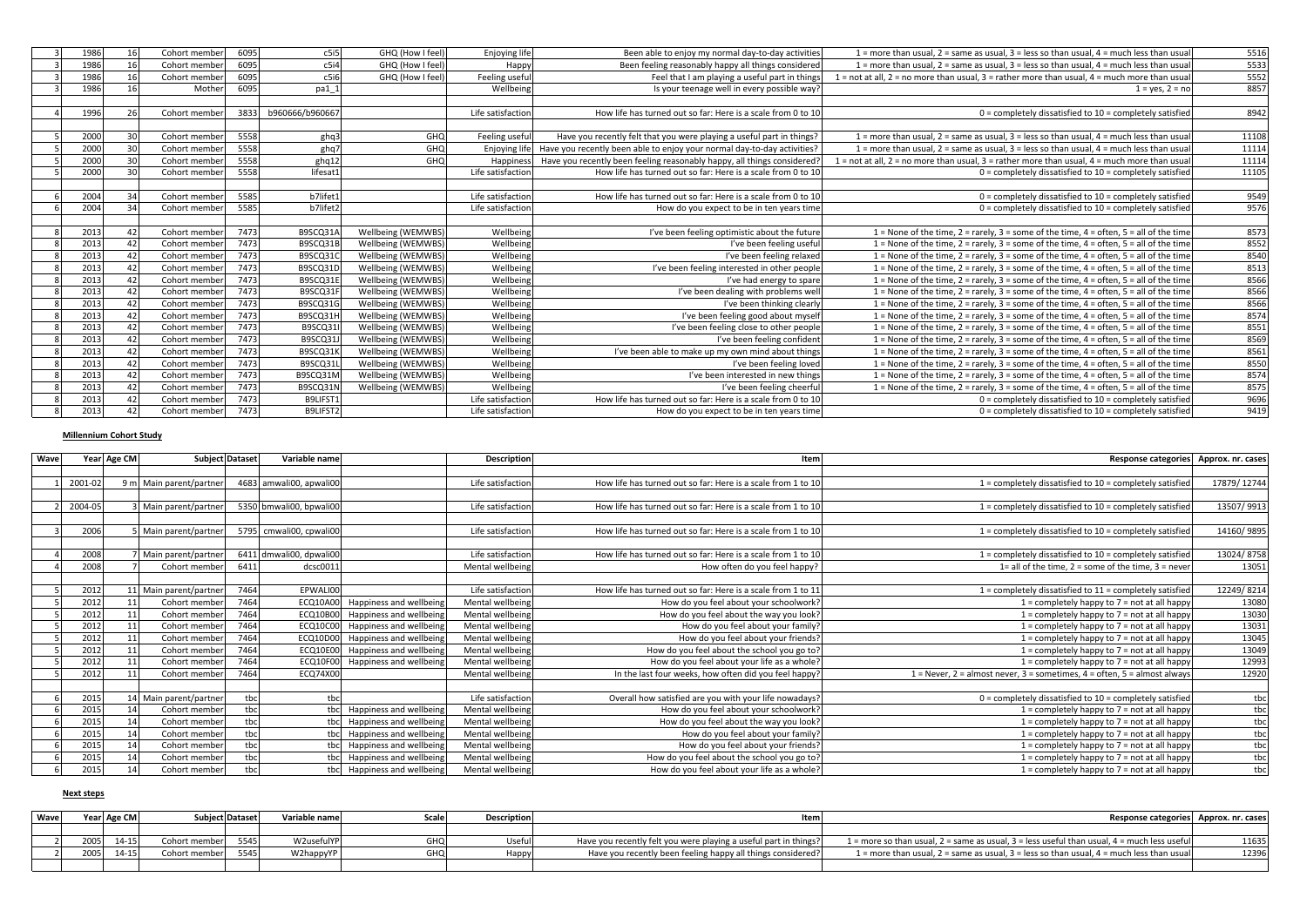| 5516  | 1 = more than usual, 2 = same as usual, 3 = less so than usual, 4 = much less than usua     | Been able to enjoy my normal day-to-day activities                                      | Enjoying life     | GHQ (How I feel)   | c5i5            | 6095 | Cohort member | 16              | 1986 |  |
|-------|---------------------------------------------------------------------------------------------|-----------------------------------------------------------------------------------------|-------------------|--------------------|-----------------|------|---------------|-----------------|------|--|
| 5533  | 1 = more than usual, 2 = same as usual, 3 = less so than usual, 4 = much less than usua     | Been feeling reasonably happy all things considered                                     | Happy             | GHQ (How I feel)   | c5i4            | 6095 | Cohort member | 16              | 1986 |  |
| 5552  | 1 = not at all, 2 = no more than usual, 3 = rather more than usual, 4 = much more than usua | Feel that I am playing a useful part in things                                          | Feeling useful    | GHQ (How I feel)   | c5i6            | 6095 | Cohort member | 16              | 1986 |  |
| 8857  | $1 = yes, 2 = no$                                                                           | Is your teenage well in every possible way?                                             | Wellbeing         |                    | pa1 1           | 6095 | Mother        | 16              | 1986 |  |
|       |                                                                                             |                                                                                         |                   |                    |                 |      |               |                 |      |  |
| 8942  | $0 =$ completely dissatisfied to $10 =$ completely satisfied                                | How life has turned out so far: Here is a scale from 0 to 10                            | Life satisfaction |                    | b960666/b960667 | 3833 | Cohort member | <b>26</b>       | 1996 |  |
|       |                                                                                             |                                                                                         |                   |                    |                 |      |               |                 |      |  |
| 11108 | 1 = more than usual, 2 = same as usual, 3 = less so than usual, 4 = much less than usua     | Have you recently felt that you were playing a useful part in things?                   | Feeling useful    | <b>GHQ</b>         | ghq3            | 5558 | Cohort member | 30              | 2000 |  |
| 11114 | 1 = more than usual, 2 = same as usual, 3 = less so than usual, 4 = much less than usua     | Enjoying life   Have you recently been able to enjoy your normal day-to-day activities? |                   | <b>GHQ</b>         | ghq7            | 5558 | Cohort member | 30              | 2000 |  |
| 11114 | 1 = not at all, 2 = no more than usual, 3 = rather more than usual, 4 = much more than usua | Happiness   Have you recently been feeling reasonably happy, all things considered?     |                   | <b>GHQ</b>         | ghq12           | 5558 | Cohort member | 30 <sup>1</sup> | 2000 |  |
| 11105 | $0 =$ completely dissatisfied to $10 =$ completely satisfied                                | How life has turned out so far: Here is a scale from 0 to 10                            | Life satisfaction |                    | lifesat1        | 5558 | Cohort member | 30 <sup>l</sup> | 2000 |  |
|       |                                                                                             |                                                                                         |                   |                    |                 |      |               |                 |      |  |
| 9549  | $0 =$ completely dissatisfied to $10 =$ completely satisfied                                | How life has turned out so far: Here is a scale from 0 to 10                            | Life satisfaction |                    | b7lifet1        | 5585 | Cohort member | 34              | 2004 |  |
| 9576  | $0 =$ completely dissatisfied to $10 =$ completely satisfied                                | How do you expect to be in ten years time                                               | Life satisfaction |                    | b7lifet2        | 5585 | Cohort member | 34              | 2004 |  |
|       |                                                                                             |                                                                                         |                   |                    |                 |      |               |                 |      |  |
| 8573  | 1 = None of the time, 2 = rarely, 3 = some of the time, $4 =$ often, $5 =$ all of the time  | I've been feeling optimistic about the future                                           | Wellbeing         | Wellbeing (WEMWBS) | B9SCQ31A        | 7473 | Cohort member | 42              | 2013 |  |
| 8552  | 1 = None of the time, 2 = rarely, 3 = some of the time, 4 = often, 5 = all of the time      | I've been feeling useful                                                                | Wellbeing         | Wellbeing (WEMWBS) | B9SCQ31B        | 7473 | Cohort member | 42              | 2013 |  |
| 8540  | 1 = None of the time, 2 = rarely, 3 = some of the time, $4 =$ often, $5 =$ all of the time  | I've been feeling relaxed                                                               | Wellbeing         | Wellbeing (WEMWBS) | B9SCQ31C        | 7473 | Cohort member | 42              | 2013 |  |
| 8513  | 1 = None of the time, 2 = rarely, 3 = some of the time, 4 = often, 5 = all of the time      | I've been feeling interested in other people                                            | Wellbeing         | Wellbeing (WEMWBS) | B9SCQ31D        | 7473 | Cohort member | 42              | 2013 |  |
| 8566  | 1 = None of the time, 2 = rarely, 3 = some of the time, $4 =$ often, $5 =$ all of the time  | I've had energy to spare                                                                | Wellbeing         | Wellbeing (WEMWBS) | B9SCQ31E        | 7473 | Cohort member | 42              | 2013 |  |
| 8566  | 1 = None of the time, 2 = rarely, 3 = some of the time, $4 =$ often, $5 =$ all of the time  | I've been dealing with problems well                                                    | Wellbeing         | Wellbeing (WEMWBS) | B9SCQ31F        | 7473 | Cohort member | 42              | 2013 |  |
| 8566  | 1 = None of the time, 2 = rarely, 3 = some of the time, $4 =$ often, $5 =$ all of the time  | I've been thinking clearly                                                              | Wellbeing         | Wellbeing (WEMWBS) | B9SCQ31G        | 7473 | Cohort member | 42              | 2013 |  |
| 8574  | 1 = None of the time, 2 = rarely, 3 = some of the time, 4 = often, 5 = all of the time      | I've been feeling good about myself                                                     | Wellbeing         | Wellbeing (WEMWBS) | B9SCQ31H        | 7473 | Cohort member | 42              | 2013 |  |
| 8551  | 1 = None of the time, 2 = rarely, 3 = some of the time, $4 =$ often, $5 =$ all of the time  | I've been feeling close to other people                                                 | Wellbeing         | Wellbeing (WEMWBS) | B9SCQ31I        | 7473 | Cohort member | 42              | 2013 |  |
| 8569  | 1 = None of the time, 2 = rarely, 3 = some of the time, 4 = often, 5 = all of the time      | I've been feeling confident                                                             | Wellbeing         | Wellbeing (WEMWBS) | B9SCQ31J        | 7473 | Cohort member | 42              | 2013 |  |
| 8561  | 1 = None of the time, 2 = rarely, 3 = some of the time, $4 =$ often, $5 =$ all of the time  | I've been able to make up my own mind about things                                      | Wellbeing         | Wellbeing (WEMWBS) | B9SCQ31K        | 7473 | Cohort member | 42              | 2013 |  |
| 8550  | 1 = None of the time, 2 = rarely, 3 = some of the time, $4 =$ often, $5 =$ all of the time  | I've been feeling loved                                                                 | Wellbeing         | Wellbeing (WEMWBS) | B9SCQ31L        | 7473 | Cohort member | 42              | 2013 |  |
| 8574  | 1 = None of the time, 2 = rarely, 3 = some of the time, $4 =$ often, $5 =$ all of the time  | I've been interested in new things                                                      | Wellbeing         | Wellbeing (WEMWBS) | B9SCQ31M        | 7473 | Cohort member | 42              | 2013 |  |
| 8575  | 1 = None of the time, 2 = rarely, 3 = some of the time, $4 =$ often, $5 =$ all of the time  | I've been feeling cheerful                                                              | Wellbeing         | Wellbeing (WEMWBS) | B9SCQ31N        | 7473 | Cohort member | 42              | 2013 |  |
| 9696  | $0 =$ completely dissatisfied to $10 =$ completely satisfied                                | How life has turned out so far: Here is a scale from 0 to 10                            | Life satisfaction |                    | B9LIFST1        | 7473 | Cohort member | 42              | 2013 |  |
| 9419  | $0 =$ completely dissatisfied to $10 =$ completely satisfied                                | How do you expect to be in ten years time                                               | Life satisfaction |                    | B9LIFST2        | 7473 | Cohort member | 42              | 2013 |  |
|       |                                                                                             |                                                                                         |                   |                    |                 |      |               |                 |      |  |

## **Millennium Cohort Study**

| Wave |         | Year Age CM | Subject Dataset         |      | Variable name             |                                  | <b>Description</b> | <b>Item</b>                                                  | Response categories Approx. nr. cases                                    |             |
|------|---------|-------------|-------------------------|------|---------------------------|----------------------------------|--------------------|--------------------------------------------------------------|--------------------------------------------------------------------------|-------------|
|      |         |             |                         |      |                           |                                  |                    |                                                              |                                                                          |             |
|      | 2001-02 |             | 9 m Main parent/partner |      | 4683 amwali00, apwali00   |                                  | Life satisfaction  | How life has turned out so far: Here is a scale from 1 to 10 | $1 =$ completely dissatisfied to $10 =$ completely satisfied             | 17879/12744 |
|      |         |             |                         |      |                           |                                  |                    |                                                              |                                                                          |             |
|      | 2004-05 |             | 3 Main parent/partner   |      | 5350 bmwali00, bpwali00   |                                  | Life satisfaction  | How life has turned out so far: Here is a scale from 1 to 10 | $1$ = completely dissatisfied to $10$ = completely satisfied             | 13507/9913  |
|      |         |             |                         |      |                           |                                  |                    |                                                              |                                                                          |             |
|      | 2006    |             | 5 Main parent/partner   |      | 5795 cmwali00, cpwali00   |                                  | Life satisfaction  | How life has turned out so far: Here is a scale from 1 to 10 | 1 = completely dissatisfied to 10 = completely satisfied                 | 14160/9895  |
|      |         |             |                         |      |                           |                                  |                    |                                                              |                                                                          |             |
|      | 2008    |             | Main parent/partner     |      | $6411$ dmwali00, dpwali00 |                                  | Life satisfaction  | How life has turned out so far: Here is a scale from 1 to 10 | $1$ = completely dissatisfied to $10$ = completely satisfied             | 13024/8758  |
|      | 2008    |             | Cohort member           | 6411 | dcsc0011                  |                                  | Mental wellbeing   | How often do you feel happy?                                 | 1= all of the time, $2 =$ some of the time, $3 =$ never                  | 13051       |
|      |         |             |                         |      |                           |                                  |                    |                                                              |                                                                          |             |
|      | 2012    |             | 11 Main parent/partner  | 7464 | EPWALI00                  |                                  | Life satisfaction  | How life has turned out so far: Here is a scale from 1 to 11 | $1 =$ completely dissatisfied to $11 =$ completely satisfied             | 12249/8214  |
|      | 2012    |             | Cohort member           | 7464 | ECQ10A00                  | Happiness and wellbeing          | Mental wellbeing   | How do you feel about your schoolwork?                       | 1 = completely happy to $7$ = not at all happy                           | 13080       |
|      | 2012    |             | Cohort member           | 7464 |                           | ECQ10B00 Happiness and wellbeing | Mental wellbeing   | How do you feel about the way you look?                      | 1 = completely happy to $7$ = not at all happy                           | 13030       |
|      | 2012    |             | Cohort member           | 7464 |                           | ECQ10C00 Happiness and wellbeing | Mental wellbeing   | How do you feel about your family?                           | 1 = completely happy to $7$ = not at all happy                           | 13031       |
|      | 2012    |             | Cohort member           | 7464 |                           | ECQ10D00 Happiness and wellbeing | Mental wellbeing   | How do you feel about your friends?                          | 1 = completely happy to $7$ = not at all happy                           | 13045       |
|      | 2012    |             | Cohort member           | 7464 |                           | ECQ10E00 Happiness and wellbeing | Mental wellbeing   | How do you feel about the school you go to?                  | 1 = completely happy to $7$ = not at all happy                           | 13049       |
|      | 2012    |             | Cohort member           | 7464 |                           | ECQ10F00 Happiness and wellbeing | Mental wellbeing   | How do you feel about your life as a whole?                  | 1 = completely happy to $7$ = not at all happy                           | 12993       |
|      | 2012    |             | Cohort member           | 7464 | ECQ74X00                  |                                  | Mental wellbeing   | In the last four weeks, how often did you feel happy?        | 1 = Never, 2 = almost never, 3 = sometimes, 4 = often, 5 = almost always | 12920       |
|      |         |             |                         |      |                           |                                  |                    |                                                              |                                                                          |             |
|      | 2015    |             | 14 Main parent/partner  | tbcl | tbcl                      |                                  | Life satisfaction  | Overall how satisfied are you with your life nowadays?       | $0 =$ completely dissatisfied to $10 =$ completely satisfied             | tbc         |
|      | 2015    |             | Cohort member           | tbc  |                           | tbc Happiness and wellbeing      | Mental wellbeing   | How do you feel about your schoolwork?                       | $1 =$ completely happy to $7 =$ not at all happy                         | tbc         |
|      | 2015    |             | Cohort member           | tbcl |                           | tbc Happiness and wellbeing      | Mental wellbeing   | How do you feel about the way you look?                      | $1 =$ completely happy to $7 =$ not at all happy                         | tbc         |
|      | 2015    |             | Cohort member           | tbcl |                           | tbc Happiness and wellbeing      | Mental wellbeing   | How do you feel about your family?                           | 1 = completely happy to $7$ = not at all happy                           | tbc         |
|      | 2015    |             | Cohort member           | tbc  |                           | tbc Happiness and wellbeing      | Mental wellbeing   | How do you feel about your friends?                          | 1 = completely happy to $7$ = not at all happy                           | tbc         |
|      | 2015    |             | Cohort member           | tbcl |                           | tbc Happiness and wellbeing      | Mental wellbeing   | How do you feel about the school you go to?                  | 1 = completely happy to $7$ = not at all happy                           | tbc         |
|      | 2015    |             | Cohort member           | tbcl |                           | tbc Happiness and wellbeing      | Mental wellbeing   | How do you feel about your life as a whole?                  | 1 = completely happy to $7$ = not at all happy                           | tbc         |

## **Next steps**

| Wave |      | Year Age CM |                | Subject Dataset | Variable name | Scale | <b>Description</b> | Item                                                             | Response categories   Approx. nr. cases                                                     |       |
|------|------|-------------|----------------|-----------------|---------------|-------|--------------------|------------------------------------------------------------------|---------------------------------------------------------------------------------------------|-------|
|      |      |             |                |                 |               |       |                    |                                                                  |                                                                                             |       |
|      | 2005 | $14 - 15$   | Cohort member  | 5545            | W2usefulYPl   | GHO.  | Jsefu'             | Have you recently felt you were playing a useful part in things? | 1 = more so than usual, 2 = same as usual, 3 = less useful than usual, 4 = much less useful | 11635 |
|      | 2005 | $14 - 15$   | Cohort memberl | 5545            | W2happyYP     | GHQ   | Happy,             | Have you recently been feeling happy all things considered?      | 1 = more than usual, 2 = same as usual, 3 = less so than usual, 4 = much less than usual    | 12396 |
|      |      |             |                |                 |               |       |                    |                                                                  |                                                                                             |       |